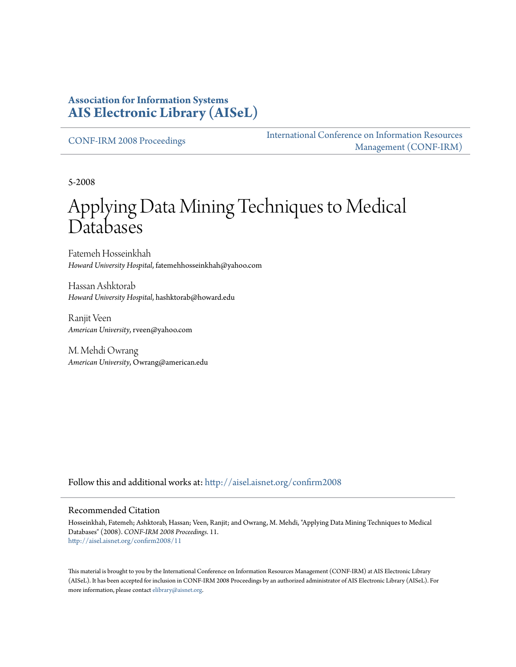### **Association for Information Systems [AIS Electronic Library \(AISeL\)](http://aisel.aisnet.org?utm_source=aisel.aisnet.org%2Fconfirm2008%2F11&utm_medium=PDF&utm_campaign=PDFCoverPages)**

[CONF-IRM 2008 Proceedings](http://aisel.aisnet.org/confirm2008?utm_source=aisel.aisnet.org%2Fconfirm2008%2F11&utm_medium=PDF&utm_campaign=PDFCoverPages)

[International Conference on Information Resources](http://aisel.aisnet.org/conf-irm?utm_source=aisel.aisnet.org%2Fconfirm2008%2F11&utm_medium=PDF&utm_campaign=PDFCoverPages) [Management \(CONF-IRM\)](http://aisel.aisnet.org/conf-irm?utm_source=aisel.aisnet.org%2Fconfirm2008%2F11&utm_medium=PDF&utm_campaign=PDFCoverPages)

5-2008

# Applying Data Mining Techniques to Medical Databases

Fatemeh Hosseinkhah *Howard University Hospital*, fatemehhosseinkhah@yahoo.com

Hassan Ashktorab *Howard University Hospital*, hashktorab@howard.edu

Ranjit Veen *American University*, rveen@yahoo.com

M. Mehdi Owrang *American University*, Owrang@american.edu

Follow this and additional works at: [http://aisel.aisnet.org/confirm2008](http://aisel.aisnet.org/confirm2008?utm_source=aisel.aisnet.org%2Fconfirm2008%2F11&utm_medium=PDF&utm_campaign=PDFCoverPages)

#### Recommended Citation

Hosseinkhah, Fatemeh; Ashktorab, Hassan; Veen, Ranjit; and Owrang, M. Mehdi, "Applying Data Mining Techniques to Medical Databases" (2008). *CONF-IRM 2008 Proceedings*. 11. [http://aisel.aisnet.org/confirm2008/11](http://aisel.aisnet.org/confirm2008/11?utm_source=aisel.aisnet.org%2Fconfirm2008%2F11&utm_medium=PDF&utm_campaign=PDFCoverPages)

This material is brought to you by the International Conference on Information Resources Management (CONF-IRM) at AIS Electronic Library (AISeL). It has been accepted for inclusion in CONF-IRM 2008 Proceedings by an authorized administrator of AIS Electronic Library (AISeL). For more information, please contact [elibrary@aisnet.org.](mailto:elibrary@aisnet.org%3E)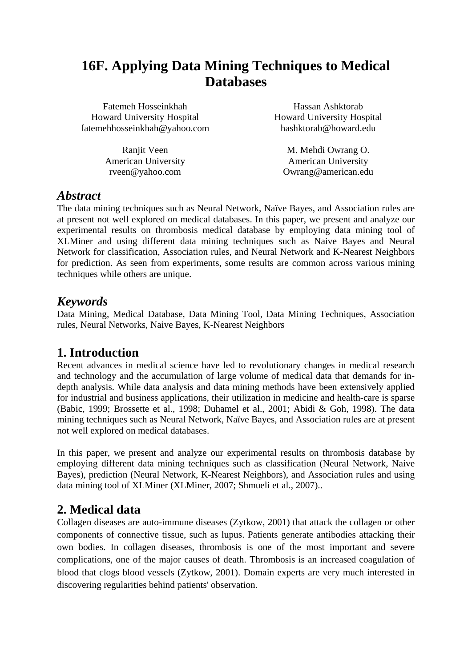## **16F. Applying Data Mining Techniques to Medical Databases**

| Fatemeh Hosseinkhah               |
|-----------------------------------|
| <b>Howard University Hospital</b> |
| fatemehhosseinkhah@yahoo.com      |

Ranjit Veen American University rveen@yahoo.com

Hassan Ashktorab Howard University Hospital hashktorab@howard.edu

M. Mehdi Owrang O. American University Owrang@american.edu

### *Abstract*

The data mining techniques such as Neural Network, Naïve Bayes, and Association rules are at present not well explored on medical databases. In this paper, we present and analyze our experimental results on thrombosis medical database by employing data mining tool of XLMiner and using different data mining techniques such as Naive Bayes and Neural Network for classification, Association rules, and Neural Network and K-Nearest Neighbors for prediction. As seen from experiments, some results are common across various mining techniques while others are unique.

### *Keywords*

Data Mining, Medical Database, Data Mining Tool, Data Mining Techniques, Association rules, Neural Networks, Naive Bayes, K-Nearest Neighbors

### **1. Introduction**

Recent advances in medical science have led to revolutionary changes in medical research and technology and the accumulation of large volume of medical data that demands for indepth analysis. While data analysis and data mining methods have been extensively applied for industrial and business applications, their utilization in medicine and health-care is sparse (Babic, 1999; Brossette et al., 1998; Duhamel et al., 2001; Abidi & Goh, 1998). The data mining techniques such as Neural Network, Naïve Bayes, and Association rules are at present not well explored on medical databases.

In this paper, we present and analyze our experimental results on thrombosis database by employing different data mining techniques such as classification (Neural Network, Naive Bayes), prediction (Neural Network, K-Nearest Neighbors), and Association rules and using data mining tool of XLMiner (XLMiner, 2007; Shmueli et al., 2007)..

### **2. Medical data**

Collagen diseases are auto-immune diseases (Zytkow, 2001) that attack the collagen or other components of connective tissue, such as lupus. Patients generate antibodies attacking their own bodies. In collagen diseases, thrombosis is one of the most important and severe complications, one of the major causes of death. Thrombosis is an increased coagulation of blood that clogs blood vessels (Zytkow, 2001). Domain experts are very much interested in discovering regularities behind patients' observation.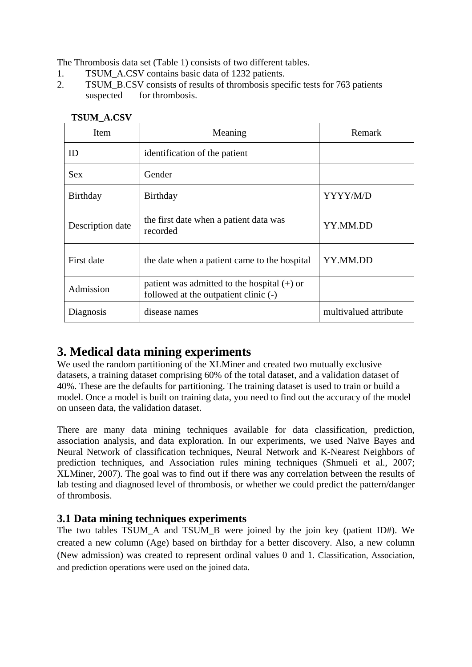The Thrombosis data set (Table 1) consists of two different tables.

- 1. TSUM\_A.CSV contains basic data of 1232 patients.
- 2. TSUM B.CSV consists of results of thrombosis specific tests for 763 patients suspected for thrombosis.

| Item             | Meaning                                                                                | Remark                |  |  |
|------------------|----------------------------------------------------------------------------------------|-----------------------|--|--|
| ID               | identification of the patient                                                          |                       |  |  |
| <b>Sex</b>       | Gender                                                                                 |                       |  |  |
| Birthday         | Birthday                                                                               | YYYY/M/D              |  |  |
| Description date | the first date when a patient data was<br>recorded                                     | YY.MM.DD              |  |  |
| First date       | the date when a patient came to the hospital                                           | YY.MM.DD              |  |  |
| Admission        | patient was admitted to the hospital $(+)$ or<br>followed at the outpatient clinic (-) |                       |  |  |
| Diagnosis        | disease names                                                                          | multivalued attribute |  |  |

#### **TSUM\_A.CSV**

### **3. Medical data mining experiments**

We used the random partitioning of the XLMiner and created two mutually exclusive datasets, a training dataset comprising 60% of the total dataset, and a validation dataset of 40%. These are the defaults for partitioning. The training dataset is used to train or build a model. Once a model is built on training data, you need to find out the accuracy of the model on unseen data, the validation dataset.

There are many data mining techniques available for data classification, prediction, association analysis, and data exploration. In our experiments, we used Naïve Bayes and Neural Network of classification techniques, Neural Network and K-Nearest Neighbors of prediction techniques, and Association rules mining techniques (Shmueli et al., 2007; XLMiner, 2007). The goal was to find out if there was any correlation between the results of lab testing and diagnosed level of thrombosis, or whether we could predict the pattern/danger of thrombosis.

### **3.1 Data mining techniques experiments**

The two tables TSUM\_A and TSUM\_B were joined by the join key (patient ID#). We created a new column (Age) based on birthday for a better discovery. Also, a new column (New admission) was created to represent ordinal values 0 and 1. Classification, Association, and prediction operations were used on the joined data.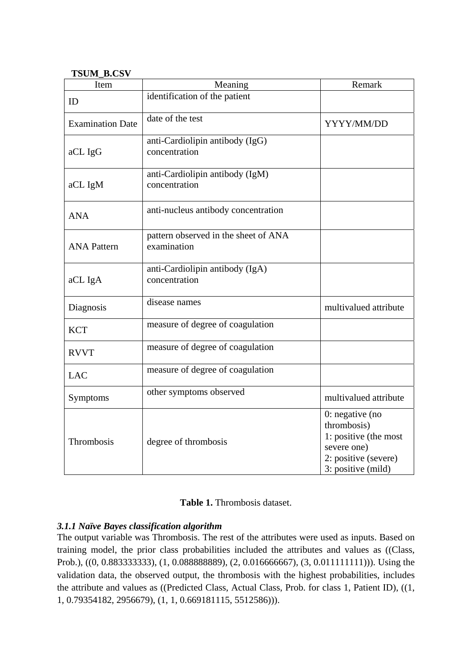#### **TSUM\_B.CSV**

| Item                    | Meaning                                             | Remark                                                                                                                 |  |  |
|-------------------------|-----------------------------------------------------|------------------------------------------------------------------------------------------------------------------------|--|--|
| ID                      | identification of the patient                       |                                                                                                                        |  |  |
| <b>Examination Date</b> | date of the test                                    | YYYY/MM/DD                                                                                                             |  |  |
| aCL IgG                 | anti-Cardiolipin antibody (IgG)<br>concentration    |                                                                                                                        |  |  |
| aCL IgM                 | anti-Cardiolipin antibody (IgM)<br>concentration    |                                                                                                                        |  |  |
| <b>ANA</b>              | anti-nucleus antibody concentration                 |                                                                                                                        |  |  |
| <b>ANA Pattern</b>      | pattern observed in the sheet of ANA<br>examination |                                                                                                                        |  |  |
| aCL IgA                 | anti-Cardiolipin antibody (IgA)<br>concentration    |                                                                                                                        |  |  |
| Diagnosis               | disease names                                       | multivalued attribute                                                                                                  |  |  |
| <b>KCT</b>              | measure of degree of coagulation                    |                                                                                                                        |  |  |
| <b>RVVT</b>             | measure of degree of coagulation                    |                                                                                                                        |  |  |
| <b>LAC</b>              | measure of degree of coagulation                    |                                                                                                                        |  |  |
| Symptoms                | other symptoms observed                             | multivalued attribute                                                                                                  |  |  |
| Thrombosis              | degree of thrombosis                                | $0:$ negative (no<br>thrombosis)<br>1: positive (the most<br>severe one)<br>2: positive (severe)<br>3: positive (mild) |  |  |

#### Table 1. Thrombosis dataset.

#### *3.1.1 Naïve Bayes classification algorithm*

The output variable was Thrombosis. The rest of the attributes were used as inputs. Based on training model, the prior class probabilities included the attributes and values as ((Class, Prob.), ((0, 0.8833333333), (1, 0.088888889), (2, 0.016666667), (3, 0.0111111111))). Using the validation data, the observed output, the thrombosis with the highest probabilities, includes the attribute and values as ((Predicted Class, Actual Class, Prob. for class 1, Patient ID), ((1, 1, 0.79354182, 2956679), (1, 1, 0.669181115, 5512586))).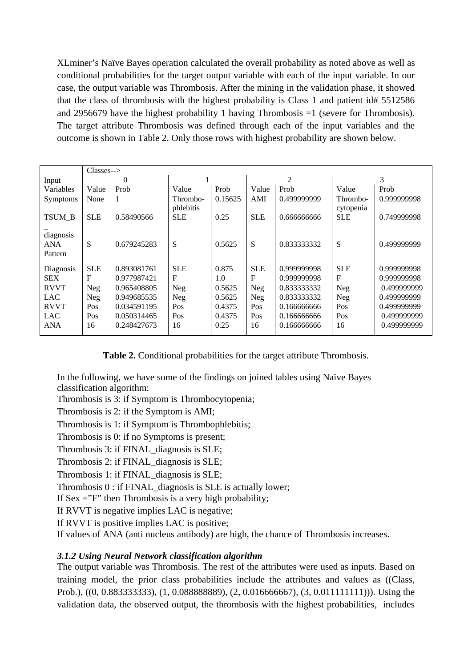XLminer's Naïve Bayes operation calculated the overall probability as noted above as well as conditional probabilities for the target output variable with each of the input variable. In our case, the output variable was Thrombosis. After the mining in the validation phase, it showed that the class of thrombosis with the highest probability is Class 1 and patient id# 5512586 and 2956679 have the highest probability 1 having Thrombosis  $=1$  (severe for Thrombosis). The target attribute Thrombosis was defined through each of the input variables and the outcome is shown in Table 2. Only those rows with highest probability are shown below.

|                             | $\text{Classes--}$ |             |                       |         |              |             |                       |             |
|-----------------------------|--------------------|-------------|-----------------------|---------|--------------|-------------|-----------------------|-------------|
| Input                       | 0                  |             |                       |         | 2            |             | 3                     |             |
| Variables                   | Value              | Prob        | Value                 | Prob    | Value        | Prob        | Value                 | Prob        |
| Symptoms                    | None               | 1           | Thrombo-<br>phlebitis | 0.15625 | AMI          | 0.499999999 | Thrombo-<br>cytopenia | 0.999999998 |
| TSUM B                      | <b>SLE</b>         | 0.58490566  | <b>SLE</b>            | 0.25    | <b>SLE</b>   | 0.666666666 | <b>SLE</b>            | 0.749999998 |
| diagnosis<br>ANA<br>Pattern | S                  | 0.679245283 | S                     | 0.5625  | S            | 0.833333332 | S                     | 0.499999999 |
| Diagnosis                   | <b>SLE</b>         | 0.893081761 | <b>SLE</b>            | 0.875   | <b>SLE</b>   | 0.999999998 | <b>SLE</b>            | 0.999999998 |
| <b>SEX</b>                  | $\mathbf{F}$       | 0.977987421 | $F_{\rm}$             | 1.0     | $\mathbf{F}$ | 0.999999998 | $\mathbf F$           | 0.999999998 |
| <b>RVVT</b>                 | <b>Neg</b>         | 0.965408805 | <b>Neg</b>            | 0.5625  | Neg          | 0.833333332 | <b>Neg</b>            | 0.499999999 |
| <b>LAC</b>                  | Neg                | 0.949685535 | Neg                   | 0.5625  | Neg          | 0.833333332 | <b>Neg</b>            | 0.499999999 |
| <b>RVVT</b>                 | Pos                | 0.034591195 | Pos                   | 0.4375  | Pos          | 0.166666666 | Pos                   | 0.499999999 |
| <b>LAC</b>                  | Pos                | 0.050314465 | Pos                   | 0.4375  | Pos          | 0.166666666 | Pos                   | 0.499999999 |
| <b>ANA</b>                  | 16                 | 0.248427673 | 16                    | 0.25    | 16           | 0.166666666 | 16                    | 0.499999999 |

**Table 2.** Conditional probabilities for the target attribute Thrombosis.

In the following, we have some of the findings on joined tables using Naïve Bayes classification algorithm:

Thrombosis is 3: if Symptom is Thrombocytopenia;

Thrombosis is 2: if the Symptom is AMI;

Thrombosis is 1: if Symptom is Thrombophlebitis;

Thrombosis is 0: if no Symptoms is present;

Thrombosis 3: if FINAL\_diagnosis is SLE;

Thrombosis 2: if FINAL\_diagnosis is SLE;

Thrombosis 1: if FINAL\_diagnosis is SLE;

Thrombosis 0 : if FINAL\_diagnosis is SLE is actually lower;

If  $Sex = "F"$  then Thrombosis is a very high probability;

If RVVT is negative implies LAC is negative;

If RVVT is positive implies LAC is positive;

If values of ANA (anti nucleus antibody) are high, the chance of Thrombosis increases.

#### *3.1.2 Using Neural Network classification algorithm*

The output variable was Thrombosis. The rest of the attributes were used as inputs. Based on training model, the prior class probabilities include the attributes and values as ((Class, Prob.), ((0, 0.883333333), (1, 0.088888889), (2, 0.016666667), (3, 0.011111111))). Using the validation data, the observed output, the thrombosis with the highest probabilities, includes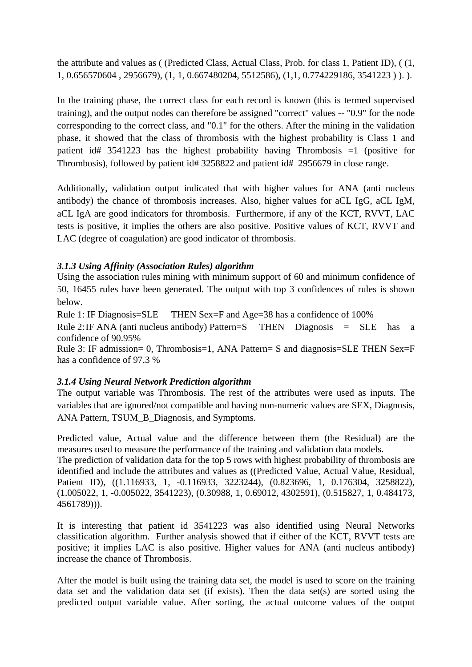the attribute and values as ( (Predicted Class, Actual Class, Prob. for class 1, Patient ID), ( (1, 1, 0.656570604 , 2956679), (1, 1, 0.667480204, 5512586), (1,1, 0.774229186, 3541223 ) ). ).

In the training phase, the correct class for each record is known (this is termed supervised training), and the output nodes can therefore be assigned "correct" values -- "0.9" for the node corresponding to the correct class, and "0.1" for the others. After the mining in the validation phase, it showed that the class of thrombosis with the highest probability is Class 1 and patient id# 3541223 has the highest probability having Thrombosis =1 (positive for Thrombosis), followed by patient id# 3258822 and patient id# 2956679 in close range.

Additionally, validation output indicated that with higher values for ANA (anti nucleus antibody) the chance of thrombosis increases. Also, higher values for aCL IgG, aCL IgM, aCL IgA are good indicators for thrombosis. Furthermore, if any of the KCT, RVVT, LAC tests is positive, it implies the others are also positive. Positive values of KCT, RVVT and LAC (degree of coagulation) are good indicator of thrombosis.

#### *3.1.3 Using Affinity (Association Rules) algorithm*

Using the association rules mining with minimum support of 60 and minimum confidence of 50, 16455 rules have been generated. The output with top 3 confidences of rules is shown below.

Rule 1: IF Diagnosis=SLE THEN Sex=F and Age=38 has a confidence of 100%

Rule 2: IF ANA (anti nucleus antibody) Pattern=S THEN Diagnosis = SLE has a confidence of 90.95%

Rule 3: IF admission= 0, Thrombosis=1, ANA Pattern= S and diagnosis=SLE THEN Sex=F has a confidence of 97.3 %

#### *3.1.4 Using Neural Network Prediction algorithm*

The output variable was Thrombosis. The rest of the attributes were used as inputs. The variables that are ignored/not compatible and having non-numeric values are SEX, Diagnosis, ANA Pattern, TSUM\_B\_Diagnosis, and Symptoms.

Predicted value, Actual value and the difference between them (the Residual) are the measures used to measure the performance of the training and validation data models.

The prediction of validation data for the top 5 rows with highest probability of thrombosis are identified and include the attributes and values as ((Predicted Value, Actual Value, Residual, Patient ID), ((1.116933, 1, -0.116933, 3223244), (0.823696, 1, 0.176304, 3258822), (1.005022, 1, -0.005022, 3541223), (0.30988, 1, 0.69012, 4302591), (0.515827, 1, 0.484173, 4561789))).

It is interesting that patient id 3541223 was also identified using Neural Networks classification algorithm. Further analysis showed that if either of the KCT, RVVT tests are positive; it implies LAC is also positive. Higher values for ANA (anti nucleus antibody) increase the chance of Thrombosis.

After the model is built using the training data set, the model is used to score on the training data set and the validation data set (if exists). Then the data set(s) are sorted using the predicted output variable value. After sorting, the actual outcome values of the output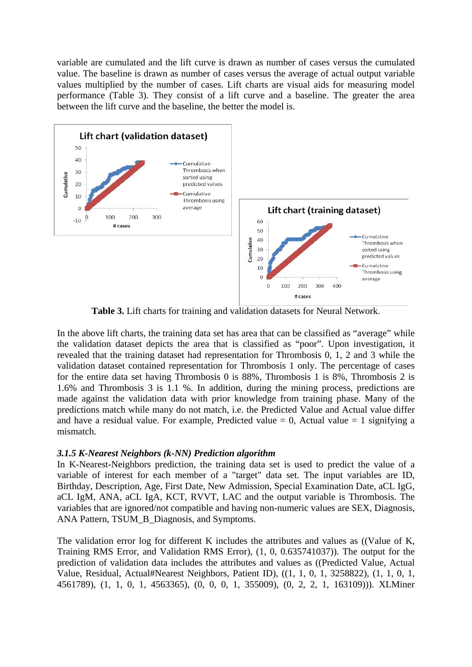variable are cumulated and the lift curve is drawn as number of cases versus the cumulated value. The baseline is drawn as number of cases versus the average of actual output variable values multiplied by the number of cases. Lift charts are visual aids for measuring model performance (Table 3). They consist of a lift curve and a baseline. The greater the area between the lift curve and the baseline, the better the model is.



**Table 3.** Lift charts for training and validation datasets for Neural Network.

In the above lift charts, the training data set has area that can be classified as "average" while the validation dataset depicts the area that is classified as "poor". Upon investigation, it revealed that the training dataset had representation for Thrombosis 0, 1, 2 and 3 while the validation dataset contained representation for Thrombosis 1 only. The percentage of cases for the entire data set having Thrombosis 0 is 88%, Thrombosis 1 is 8%, Thrombosis 2 is 1.6% and Thrombosis 3 is 1.1 %. In addition, during the mining process, predictions are made against the validation data with prior knowledge from training phase. Many of the predictions match while many do not match, i.e. the Predicted Value and Actual value differ and have a residual value. For example, Predicted value  $= 0$ , Actual value  $= 1$  signifying a mismatch.

#### *3.1.5 K-Nearest Neighbors (k-NN) Prediction algorithm*

In K-Nearest-Neighbors prediction, the training data set is used to predict the value of a variable of interest for each member of a "target" data set. The input variables are ID, Birthday, Description, Age, First Date, New Admission, Special Examination Date, aCL IgG, aCL IgM, ANA, aCL IgA, KCT, RVVT, LAC and the output variable is Thrombosis. The variables that are ignored/not compatible and having non-numeric values are SEX, Diagnosis, ANA Pattern, TSUM\_B\_Diagnosis, and Symptoms.

The validation error log for different K includes the attributes and values as ((Value of K, Training RMS Error, and Validation RMS Error), (1, 0, 0.635741037)). The output for the prediction of validation data includes the attributes and values as ((Predicted Value, Actual Value, Residual, Actual#Nearest Neighbors, Patient ID), ((1, 1, 0, 1, 3258822), (1, 1, 0, 1, 4561789), (1, 1, 0, 1, 4563365), (0, 0, 0, 1, 355009), (0, 2, 2, 1, 163109))). XLMiner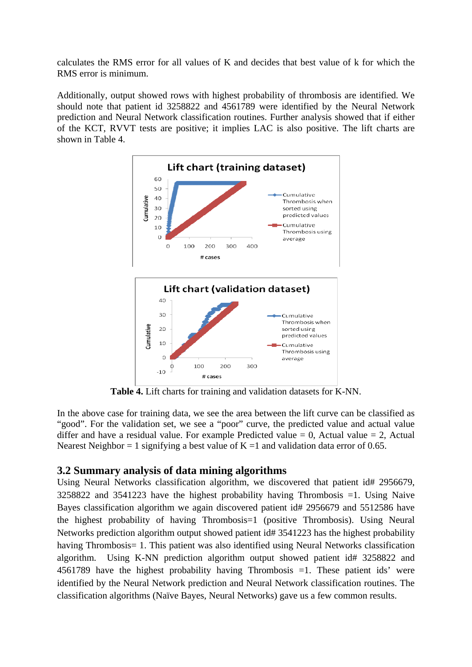calculates the RMS error for all values of K and decides that best value of k for which the RMS error is minimum.

Additionally, output showed rows with highest probability of thrombosis are identified. We should note that patient id 3258822 and 4561789 were identified by the Neural Network prediction and Neural Network classification routines. Further analysis showed that if either of the KCT, RVVT tests are positive; it implies LAC is also positive. The lift charts are shown in Table 4.



**Table 4.** Lift charts for training and validation datasets for K-NN.

In the above case for training data, we see the area between the lift curve can be classified as "good". For the validation set, we see a "poor" curve, the predicted value and actual value differ and have a residual value. For example Predicted value  $= 0$ , Actual value  $= 2$ , Actual Nearest Neighbor = 1 signifying a best value of  $K = 1$  and validation data error of 0.65.

#### **3.2 Summary analysis of data mining algorithms**

Using Neural Networks classification algorithm, we discovered that patient id# 2956679, 3258822 and 3541223 have the highest probability having Thrombosis =1. Using Naive Bayes classification algorithm we again discovered patient id# 2956679 and 5512586 have the highest probability of having Thrombosis=1 (positive Thrombosis). Using Neural Networks prediction algorithm output showed patient id# 3541223 has the highest probability having Thrombosis = 1. This patient was also identified using Neural Networks classification algorithm. Using K-NN prediction algorithm output showed patient id# 3258822 and 4561789 have the highest probability having Thrombosis =1. These patient ids' were identified by the Neural Network prediction and Neural Network classification routines. The classification algorithms (Naïve Bayes, Neural Networks) gave us a few common results.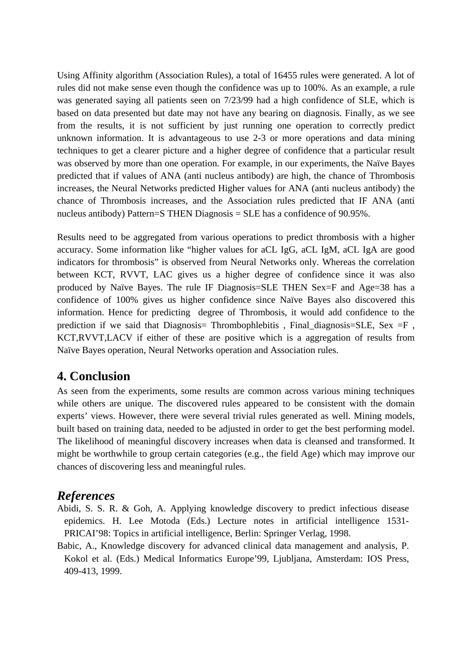Using Affinity algorithm (Association Rules), a total of 16455 rules were generated. A lot of rules did not make sense even though the confidence was up to 100%. As an example, a rule was generated saying all patients seen on 7/23/99 had a high confidence of SLE, which is based on data presented but date may not have any bearing on diagnosis. Finally, as we see from the results, it is not sufficient by just running one operation to correctly predict unknown information. It is advantageous to use 2-3 or more operations and data mining techniques to get a clearer picture and a higher degree of confidence that a particular result was observed by more than one operation. For example, in our experiments, the Naïve Bayes predicted that if values of ANA (anti nucleus antibody) are high, the chance of Thrombosis increases, the Neural Networks predicted Higher values for ANA (anti nucleus antibody) the chance of Thrombosis increases, and the Association rules predicted that IF ANA (anti nucleus antibody) Pattern=S THEN Diagnosis = SLE has a confidence of 90.95%.

Results need to be aggregated from various operations to predict thrombosis with a higher accuracy. Some information like "higher values for aCL IgG, aCL IgM, aCL IgA are good indicators for thrombosis" is observed from Neural Networks only. Whereas the correlation between KCT, RVVT, LAC gives us a higher degree of confidence since it was also produced by Naïve Bayes. The rule IF Diagnosis=SLE THEN Sex=F and Age=38 has a confidence of 100% gives us higher confidence since Naïve Bayes also discovered this information. Hence for predicting degree of Thrombosis, it would add confidence to the prediction if we said that Diagnosis= Thrombophlebitis, Final diagnosis=SLE, Sex  $=$ F, KCT,RVVT,LACV if either of these are positive which is a aggregation of results from Naïve Bayes operation, Neural Networks operation and Association rules.

### **4. Conclusion**

As seen from the experiments, some results are common across various mining techniques while others are unique. The discovered rules appeared to be consistent with the domain experts' views. However, there were several trivial rules generated as well. Mining models, built based on training data, needed to be adjusted in order to get the best performing model. The likelihood of meaningful discovery increases when data is cleansed and transformed. It might be worthwhile to group certain categories (e.g., the field Age) which may improve our chances of discovering less and meaningful rules.

### *References*

- Abidi, S. S. R. & Goh, A. Applying knowledge discovery to predict infectious disease epidemics. H. Lee Motoda (Eds.) Lecture notes in artificial intelligence 1531- PRICAI'98: Topics in artificial intelligence, Berlin: Springer Verlag, 1998.
- Babic, A., Knowledge discovery for advanced clinical data management and analysis, P. Kokol et al. (Eds.) Medical Informatics Europe'99, Ljubljana, Amsterdam: IOS Press, 409-413, 1999.